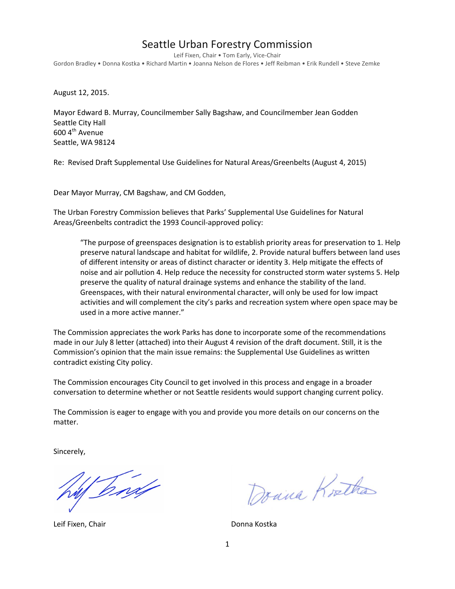# Seattle Urban Forestry Commission

Leif Fixen, Chair • Tom Early, Vice-Chair Gordon Bradley • Donna Kostka • Richard Martin • Joanna Nelson de Flores • Jeff Reibman • Erik Rundell • Steve Zemke

August 12, 2015.

Mayor Edward B. Murray, Councilmember Sally Bagshaw, and Councilmember Jean Godden Seattle City Hall  $600$  4<sup>th</sup> Avenue Seattle, WA 98124

Re: Revised Draft Supplemental Use Guidelines for Natural Areas/Greenbelts (August 4, 2015)

Dear Mayor Murray, CM Bagshaw, and CM Godden,

The Urban Forestry Commission believes that Parks' Supplemental Use Guidelines for Natural Areas/Greenbelts contradict the 1993 Council-approved policy:

"The purpose of greenspaces designation is to establish priority areas for preservation to 1. Help preserve natural landscape and habitat for wildlife, 2. Provide natural buffers between land uses of different intensity or areas of distinct character or identity 3. Help mitigate the effects of noise and air pollution 4. Help reduce the necessity for constructed storm water systems 5. Help preserve the quality of natural drainage systems and enhance the stability of the land. Greenspaces, with their natural environmental character, will only be used for low impact activities and will complement the city's parks and recreation system where open space may be used in a more active manner."

The Commission appreciates the work Parks has done to incorporate some of the recommendations made in our July 8 letter (attached) into their August 4 revision of the draft document. Still, it is the Commission's opinion that the main issue remains: the Supplemental Use Guidelines as written contradict existing City policy.

The Commission encourages City Council to get involved in this process and engage in a broader conversation to determine whether or not Seattle residents would support changing current policy.

The Commission is eager to engage with you and provide you more details on our concerns on the matter.

Sincerely,

Vent

Leif Fixen, Chair **Donna Kostka** 

Donna Kostha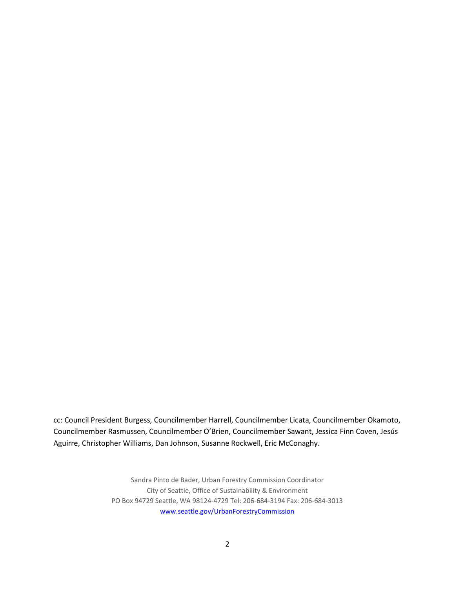cc: Council President Burgess, Councilmember Harrell, Councilmember Licata, Councilmember Okamoto, Councilmember Rasmussen, Councilmember O'Brien, Councilmember Sawant, Jessica Finn Coven, Jesús Aguirre, Christopher Williams, Dan Johnson, Susanne Rockwell, Eric McConaghy.

> Sandra Pinto de Bader, Urban Forestry Commission Coordinator City of Seattle, Office of Sustainability & Environment PO Box 94729 Seattle, WA 98124-4729 Tel: 206-684-3194 Fax: 206-684-3013 [www.seattle.gov/UrbanForestryCommission](http://www.seattle.gov/UrbanForestryCommission)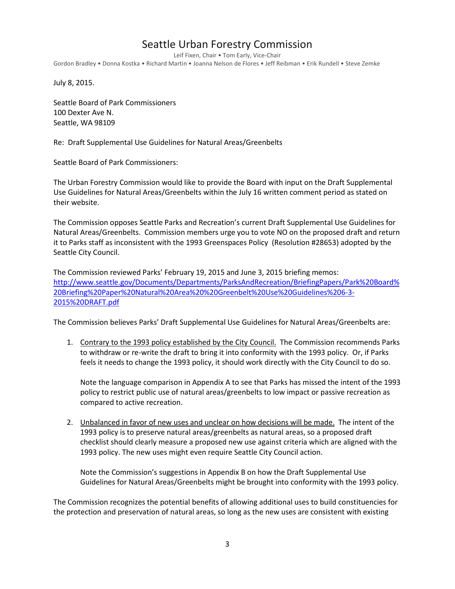# Seattle Urban Forestry Commission

Leif Fixen, Chair • Tom Early, Vice-Chair Gordon Bradley • Donna Kostka • Richard Martin • Joanna Nelson de Flores • Jeff Reibman • Erik Rundell • Steve Zemke

July 8, 2015.

Seattle Board of Park Commissioners 100 Dexter Ave N. Seattle, WA 98109

Re: Draft Supplemental Use Guidelines for Natural Areas/Greenbelts

Seattle Board of Park Commissioners:

The Urban Forestry Commission would like to provide the Board with input on the Draft Supplemental Use Guidelines for Natural Areas/Greenbelts within the July 16 written comment period as stated on their website.

The Commission opposes Seattle Parks and Recreation's current Draft Supplemental Use Guidelines for Natural Areas/Greenbelts. Commission members urge you to vote NO on the proposed draft and return it to Parks staff as inconsistent with the 1993 Greenspaces Policy (Resolution #28653) adopted by the Seattle City Council.

The Commission reviewed Parks' February 19, 2015 and June 3, 2015 briefing memos: [http://www.seattle.gov/Documents/Departments/ParksAndRecreation/BriefingPapers/Park%20Board%](http://www.seattle.gov/Documents/Departments/ParksAndRecreation/BriefingPapers/Park%20Board%20Briefing%20Paper%20Natural%20Area%20%20Greenbelt%20Use%20Guidelines%206-3-2015%20DRAFT.pdf) [20Briefing%20Paper%20Natural%20Area%20%20Greenbelt%20Use%20Guidelines%206](http://www.seattle.gov/Documents/Departments/ParksAndRecreation/BriefingPapers/Park%20Board%20Briefing%20Paper%20Natural%20Area%20%20Greenbelt%20Use%20Guidelines%206-3-2015%20DRAFT.pdf)-3- [2015%20DRAFT.pdf](http://www.seattle.gov/Documents/Departments/ParksAndRecreation/BriefingPapers/Park%20Board%20Briefing%20Paper%20Natural%20Area%20%20Greenbelt%20Use%20Guidelines%206-3-2015%20DRAFT.pdf)

The Commission believes Parks' Draft Supplemental Use Guidelines for Natural Areas/Greenbelts are:

1. Contrary to the 1993 policy established by the City Council. The Commission recommends Parks to withdraw or re-write the draft to bring it into conformity with the 1993 policy. Or, if Parks feels it needs to change the 1993 policy, it should work directly with the City Council to do so.

Note the language comparison in Appendix A to see that Parks has missed the intent of the 1993 policy to restrict public use of natural areas/greenbelts to low impact or passive recreation as compared to active recreation.

2. Unbalanced in favor of new uses and unclear on how decisions will be made. The intent of the 1993 policy is to preserve natural areas/greenbelts as natural areas, so a proposed draft checklist should clearly measure a proposed new use against criteria which are aligned with the 1993 policy. The new uses might even require Seattle City Council action.

Note the Commission's suggestions in Appendix B on how the Draft Supplemental Use Guidelines for Natural Areas/Greenbelts might be brought into conformity with the 1993 policy.

The Commission recognizes the potential benefits of allowing additional uses to build constituencies for the protection and preservation of natural areas, so long as the new uses are consistent with existing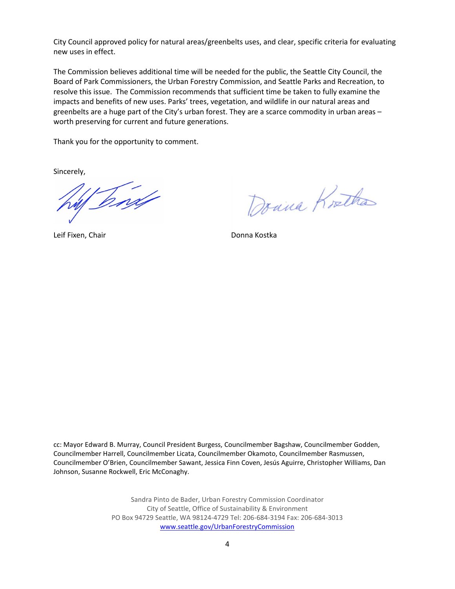City Council approved policy for natural areas/greenbelts uses, and clear, specific criteria for evaluating new uses in effect.

The Commission believes additional time will be needed for the public, the Seattle City Council, the Board of Park Commissioners, the Urban Forestry Commission, and Seattle Parks and Recreation, to resolve this issue. The Commission recommends that sufficient time be taken to fully examine the impacts and benefits of new uses. Parks' trees, vegetation, and wildlife in our natural areas and greenbelts are a huge part of the City's urban forest. They are a scarce commodity in urban areas – worth preserving for current and future generations.

Thank you for the opportunity to comment.

Sincerely,

Dodd

Leif Fixen, Chair **Donna Kostka** 

Donna Kotha

cc: Mayor Edward B. Murray, Council President Burgess, Councilmember Bagshaw, Councilmember Godden, Councilmember Harrell, Councilmember Licata, Councilmember Okamoto, Councilmember Rasmussen, Councilmember O'Brien, Councilmember Sawant, Jessica Finn Coven, Jesús Aguirre, Christopher Williams, Dan Johnson, Susanne Rockwell, Eric McConaghy.

> Sandra Pinto de Bader, Urban Forestry Commission Coordinator City of Seattle, Office of Sustainability & Environment PO Box 94729 Seattle, WA 98124-4729 Tel: 206-684-3194 Fax: 206-684-3013 [www.seattle.gov/UrbanForestryCommission](http://www.seattle.gov/UrbanForestryCommission)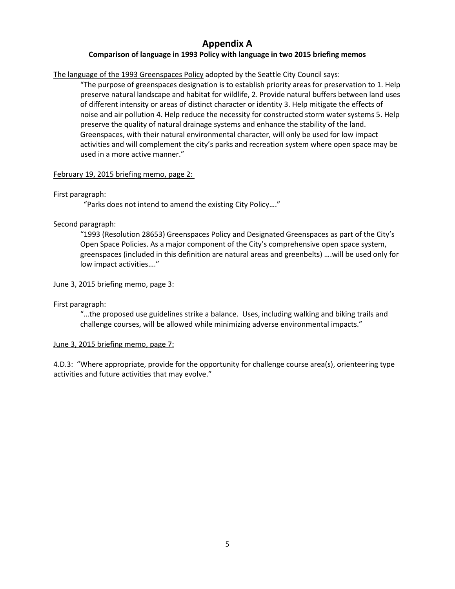## **Appendix A Comparison of language in 1993 Policy with language in two 2015 briefing memos**

The language of the 1993 Greenspaces Policy adopted by the Seattle City Council says:

"The purpose of greenspaces designation is to establish priority areas for preservation to 1. Help preserve natural landscape and habitat for wildlife, 2. Provide natural buffers between land uses of different intensity or areas of distinct character or identity 3. Help mitigate the effects of noise and air pollution 4. Help reduce the necessity for constructed storm water systems 5. Help preserve the quality of natural drainage systems and enhance the stability of the land. Greenspaces, with their natural environmental character, will only be used for low impact activities and will complement the city's parks and recreation system where open space may be used in a more active manner."

#### February 19, 2015 briefing memo, page 2:

#### First paragraph:

"Parks does not intend to amend the existing City Policy…."

#### Second paragraph:

"1993 (Resolution 28653) Greenspaces Policy and Designated Greenspaces as part of the City's Open Space Policies. As a major component of the City's comprehensive open space system, greenspaces (included in this definition are natural areas and greenbelts) ….will be used only for low impact activities…."

June 3, 2015 briefing memo, page 3:

First paragraph:

"…the proposed use guidelines strike a balance. Uses, including walking and biking trails and challenge courses, will be allowed while minimizing adverse environmental impacts."

#### June 3, 2015 briefing memo, page 7:

4.D.3: "Where appropriate, provide for the opportunity for challenge course area(s), orienteering type activities and future activities that may evolve."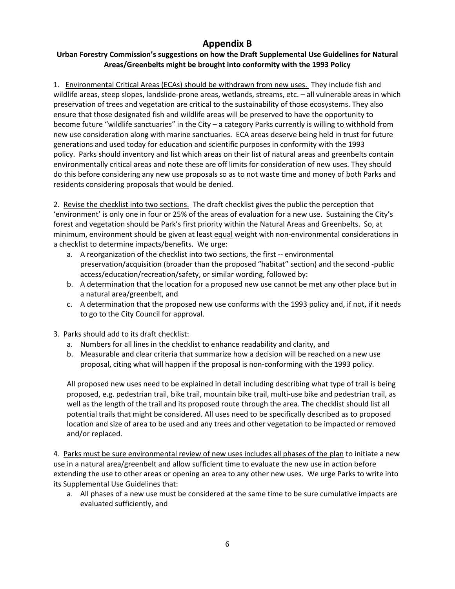## **Appendix B**

### **Urban Forestry Commission's suggestions on how the Draft Supplemental Use Guidelines for Natural Areas/Greenbelts might be brought into conformity with the 1993 Policy**

1. Environmental Critical Areas (ECAs) should be withdrawn from new uses. They include fish and wildlife areas, steep slopes, landslide-prone areas, wetlands, streams, etc. – all vulnerable areas in which preservation of trees and vegetation are critical to the sustainability of those ecosystems. They also ensure that those designated fish and wildlife areas will be preserved to have the opportunity to become future "wildlife sanctuaries" in the City – a category Parks currently is willing to withhold from new use consideration along with marine sanctuaries. ECA areas deserve being held in trust for future generations and used today for education and scientific purposes in conformity with the 1993 policy. Parks should inventory and list which areas on their list of natural areas and greenbelts contain environmentally critical areas and note these are off limits for consideration of new uses. They should do this before considering any new use proposals so as to not waste time and money of both Parks and residents considering proposals that would be denied.

2. Revise the checklist into two sections. The draft checklist gives the public the perception that 'environment' is only one in four or 25% of the areas of evaluation for a new use. Sustaining the City's forest and vegetation should be Park's first priority within the Natural Areas and Greenbelts. So, at minimum, environment should be given at least equal weight with non-environmental considerations in a checklist to determine impacts/benefits. We urge:

- a. A reorganization of the checklist into two sections, the first -- environmental preservation/acquisition (broader than the proposed "habitat" section) and the second -public access/education/recreation/safety, or similar wording, followed by:
- b. A determination that the location for a proposed new use cannot be met any other place but in a natural area/greenbelt, and
- c. A determination that the proposed new use conforms with the 1993 policy and, if not, if it needs to go to the City Council for approval.

#### 3. Parks should add to its draft checklist:

- a. Numbers for all lines in the checklist to enhance readability and clarity, and
- b. Measurable and clear criteria that summarize how a decision will be reached on a new use proposal, citing what will happen if the proposal is non-conforming with the 1993 policy.

All proposed new uses need to be explained in detail including describing what type of trail is being proposed, e.g. pedestrian trail, bike trail, mountain bike trail, multi-use bike and pedestrian trail, as well as the length of the trail and its proposed route through the area. The checklist should list all potential trails that might be considered. All uses need to be specifically described as to proposed location and size of area to be used and any trees and other vegetation to be impacted or removed and/or replaced.

4. Parks must be sure environmental review of new uses includes all phases of the plan to initiate a new use in a natural area/greenbelt and allow sufficient time to evaluate the new use in action before extending the use to other areas or opening an area to any other new uses. We urge Parks to write into its Supplemental Use Guidelines that:

a. All phases of a new use must be considered at the same time to be sure cumulative impacts are evaluated sufficiently, and